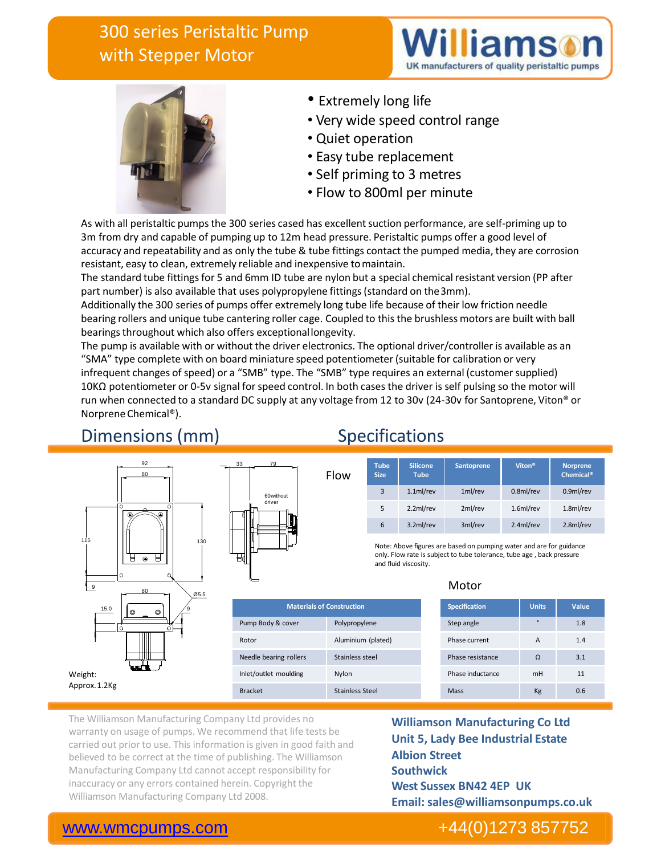# 300 series Peristaltic Pump with Stepper Motor





- Extremely long life
- Very wide speed control range
- Quiet operation
- Easy tube replacement
- Self priming to 3 metres
- Flow to 800ml per minute

As with all peristaltic pumps the 300 series cased has excellent suction performance, are self-priming up to 3m from dry and capable of pumping up to 12m head pressure. Peristaltic pumps offer a good level of accuracy and repeatability and as only the tube & tube fittings contact the pumped media, they are corrosion resistant, easy to clean, extremely reliable and inexpensive tomaintain.

The standard tube fittings for 5 and 6mm ID tube are nylon but a special chemical resistant version (PP after part number) is also available that uses polypropylene fittings (standard on the3mm).

Additionally the 300 series of pumps offer extremely long tube life because of their low friction needle bearing rollers and unique tube cantering roller cage. Coupled to this the brushless motors are built with ball bearings throughout which also offers exceptionallongevity.

The pump is available with or without the driver electronics. The optional driver/controller is available as an "SMA" type complete with on board miniature speed potentiometer (suitable for calibration or very infrequent changes of speed) or a "SMB" type. The "SMB" type requires an external (customer supplied) 10KΩ potentiometer or 0-5v signal for speed control. In both cases the driver is self pulsing so the motor will run when connected to a standard DC supply at any voltage from 12 to 30v (24-30v for Santoprene, Viton® or NorpreneChemical®).

**Materials of Construction**

Pump Body & cover Polypropylene Rotor Aluminium (plated) Needle bearing rollers Stainless steel Inlet/outlet moulding Nylon Bracket Stainless Steel

## Dimensions (mm) Specifications





| Flow | <b>Tube</b><br><b>Size</b> | <b>Silicone</b><br><b>Tube</b> | <b>Santoprene</b> | Viton <sup>®</sup> | <b>Norprene</b><br><b>Chemical<sup>®</sup></b> |
|------|----------------------------|--------------------------------|-------------------|--------------------|------------------------------------------------|
|      | 3                          | 1.1 <sub>m</sub> /rev          | 1ml/rev           | 0.8ml/rev          | 0.9ml/rev                                      |
|      | 5                          | 2.2ml/rev                      | 2ml/rev           | 1.6ml/rev          | 1.8ml/rev                                      |
|      | 6                          | 3.2ml/rev                      | 3ml/rev           | 2.4ml/rev          | 2.8ml/rev                                      |

Note: Above figures are based on pumping water and are for guidance only. Flow rate is subject to tube tolerance, tube age , back pressure and fluid viscosity.

### Motor

| <b>Specification</b> | <b>Units</b> | Value |
|----------------------|--------------|-------|
| Step angle           | $\Omega$     | 1.8   |
| Phase current        | A            | 1.4   |
| Phase resistance     | $\Omega$     | 3.1   |
| Phase inductance     | mH           | 11    |
| Mass                 | Kg           | 0.6   |

The Williamson Manufacturing Company Ltd provides no warranty on usage of pumps. We recommend that life tests be carried out prior to use. This information is given in good faith and believed to be correct at the time of publishing. The Williamson Manufacturing Company Ltd cannot accept responsibility for inaccuracy or any errors contained herein. Copyright the Williamson Manufacturing Company Ltd 2008.

**Williamson Manufacturing Co Ltd Unit 5, Lady Bee Industrial Estate Albion Street Southwick West Sussex BN42 4EP UK Email: sales@williamsonpumps.co.uk**

### [www.wmcpumps.com](http://www.wmcpumps.com/) +44(0)1273 857752